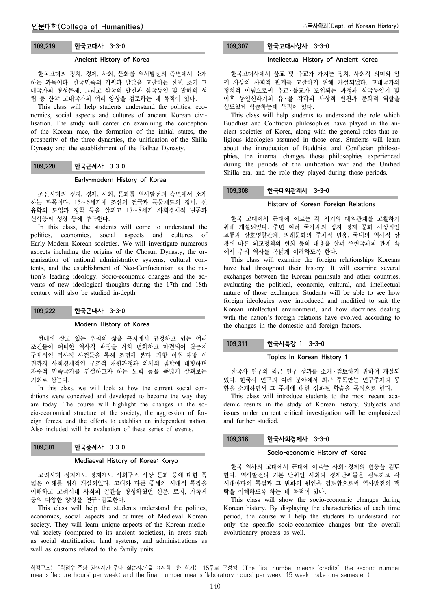## 109.219 한국고대사 3-3-0

### Ancient History of Korea

한국고대의 정치, 경제, 사회, 문화를 역사발전의 측면에서 소개 하는 과목이다. 한국민족의 기원과 발달을 고찰하는 한편 초기 고 대국가의 형성문제, 그리고 삼국의 발전과 삼국통일 및 발해의 성 립 등 한국 고대국가의 여러 양상을 검토하는 데 목적이 있다.

This class will help students understand the politics, economics, social aspects and cultures of ancient Korean civilisation. The study will center on examining the conception of the Korean race, the formation of the initial states, the prosperity of the three dynasties, the unification of the Shilla Dynasty and the establishment of the Balhae Dynasty.

### 109.220 한국근세사 3-3-0

#### Early-modern History of Korea

조선시대의 정치, 경제, 사회, 문화를 역사발전의 측면에서 소개 하는 과목이다. 15∼6세기에 조선의 건국과 문물제도의 정비, 신 유학의 도입과 정착 등을 살피고 17∼8세기 사회경제적 변동과 신학풍의 성장 등에 주목한다.

In this class, the students will come to understand the politics, economics, social aspects and cultures of Early-Modern Korean societies. We will investigate numerous aspects including the origins of the Chosun Dynasty, the organization of national administrative systems, cultural contents, and the establishment of Neo-Confucianism as the nation's leading ideology. Socio-economic changes and the advents of new ideological thoughts during the 17th and 18th century will also be studied in-depth.

## 109.222 한국근대사 3-3-0

#### Modern History of Korea

현대에 살고 있는 우리의 삶을 근저에서 규정하고 있는 여러 조건들이 어떠한 역사적 과정을 거쳐 변화하고 마련되어 왔는지 구체적인 역사적 사건들을 통해 조명해 본다. 개항 이후 해방 이 전까지 사회경제적인 구조적 재편과정과 외세의 침탈에 대항하며 자주적 민족국가를 건설하고자 하는 노력 등을 폭넓게 살펴보는 기회로 삼는다.

In this class, we will look at how the current social conditions were conceived and developed to become the way they are today. The course will highlight the changes in the socio-economical structure of the society, the aggression of foreign forces, and the efforts to establish an independent nation. Also included will be evaluation of these series of events.

# 109.301 한국중세사 3-3-0

## Mediaeval History of Korea: Koryo

고려시대 정치제도 경제제도 사회구조 사상 문화 등에 대한 폭 넓은 이해를 위해 개설되었다. 고대와 다른 중세의 시대적 특징을 이해하고 고려시대 사회의 골간을 형성하였던 신분, 토지, 가족제 등의 다양한 양상을 연구 ․ 검토한다.

This class will help the students understand the politics, economics, social aspects and cultures of Medieval Korean society. They will learn unique aspects of the Korean medieval society (compared to its ancient societies), in areas such as social stratification, land systems, and administrations as well as customs related to the family units.

# 109.307 한국고대사상사 3-3-0

## Intellectual History of Ancient Korea

한국고대사에서 불교 및 유교가 가지는 정치, 사회적 의미와 함 께 사상의 사회적 관계를 고찰하기 위해 개설되었다. 고대국가의 정치적 이념으로써 유교 ․ 불교가 도입되는 과정과 삼국통일기 및 이후 통일신라기의 유·불 각각의 사상적 변천과 문화적 역할을 심도있게 학습하는데 목적이 있다.

This class will help students to understand the role which Buddhist and Confucian philosophies have played in the ancient societies of Korea, along with the general roles that religious ideologies assumed in those eras. Students will learn about the introduction of Buddhist and Confucian philosophies, the internal changes those philosophies experienced during the periods of the unification war and the Unified Shilla era, and the role they played during those periods.

### 109.308 한국대외관계사 3-3-0

### History of Korean Foreign Relations

한국 고대에서 근대에 이르는 각 시기의 대외관계를 고찰하기 위해 개설되었다. 주변 여러 국가와의 정치 ․ 경제 ․ 문화 ․ 사상적인 교류와 상호영향관계, 외래문화의 주체적 변용, 국내의 역사적 상 황에 따른 외교정책의 변화 등의 내용을 살펴 주변국과의 관계 속 에서 우리 역사를 폭넓게 이해하도록 한다.

This class will examine the foreign relationships Koreans have had throughout their history. It will examine several exchanges between the Korean peninsula and other countries, evaluating the political, economic, cultural, and intellectual nature of those exchanges. Students will be able to see how foreign ideologies were introduced and modified to suit the Korean intellectual environment, and how doctrines dealing with the nation's foreign relations have evolved according to the changes in the domestic and foreign factors.

## 109.311 한국사특강 1 3-3-0

### Topics in Korean History 1

한국사 연구의 최근 연구 성과를 소개 ․ 검토하기 위하여 개설되 었다. 한국사 연구의 여러 분야에서 최근 주목받는 연구주제와 동 향을 소개하면서 그 주제에 대한 심화된 학습을 목적으로 한다.

This class will introduce students to the most recent academic results in the study of Korean history. Subjects and issues under current critical investigation will be emphasized and further studied.

# 109.316 한국사회경제사 3-3-0

#### Socio-economic History of Korea

한국 역사의 고대에서 근대에 이르는 사회 ․ 경제의 변동을 검토 한다. 역사발전의 기본 단위인 사회와 경제단위들을 검토하고 각 시대마다의 특질과 그 변화의 원인을 검토함으로써 역사발전의 맥 락을 이해하도록 하는 데 목적이 있다.

This class will show the socio-economic changes during Korean history. By displaying the characteristics of each time period, the course will help the students to understand not only the specific socio-economice changes but the overall evolutionary process as well.

학점구조는 "학점수-주당 강의시간-주당 실습시간"을 표시함. 한 학기는 15주로 구성됨. (The first number means "credits"; the second number means "lecture hours" per week; and the final number means "laboratory hours" per week. 15 week make one semester.)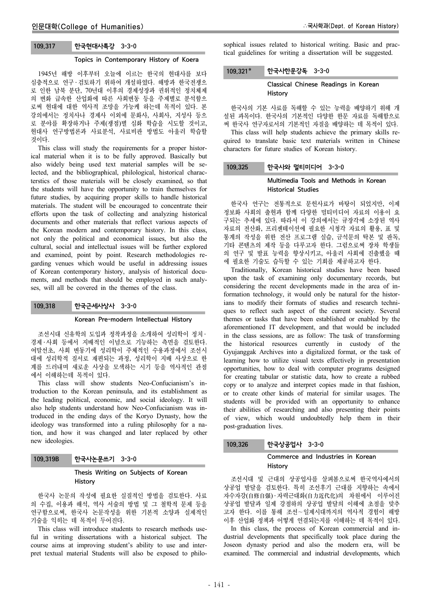## 109.317 한국현대사특강 3-3-0

# Topics in Contemporary History of Koera

1945년 해방 이후부터 오늘에 이르는 한국의 현대사를 보다 심층적으로 연구 ․ 검토하기 위하여 개설하였다. 해방과 한국전쟁으 로 인한 남북 분단, 70년대 이후의 경제성장과 권위적인 정치체제 의 변화 급속한 산업화에 따른 사회변동 등을 주제별로 분석함으 로써 현대에 대한 역사적 조망을 가능케 하는데 목적이 있다. 본 강의에서는 정치사나 경제사 이외에 문화사, 사회사, 지성사 등으 로 분야를 확장하거나 주제(쟁점)별 심화 학습을 시도할 것이고, 현대사 연구방법론과 사료분석, 사료비판 방법도 아울러 학습할 것이다.

This class will study the requirements for a proper historical material when it is to be fully approved. Basically but also widely being used text material samples will be selected, and the bibliographical, philological, historical characterstics of those materials will be closely examined, so that the students will have the opportunity to train themselves for future studies, by acquiring proper skills to handle historical materials. The student will be encouraged to concentrate their efforts upon the task of collecting and analyzing historical documents and other materials that reflect various aspects of the Korean modern and contemporary history. In this class, not only the political and economical issues, but also the cultural, social and intellectual issues will be further explored and examined, point by point. Research methodologies regarding venues which would be useful in addressing issues of Korean contemporary history, analysis of historical documents, and methods that should be employed in such analyses, will all be covered in the themes of the class.

### 109.318 한국근세사상사 3-3-0

### Korean Pre-modern Intellectual History

조선시대 신유학의 도입과 정착과정을 소개하여 성리학이 정치 ․ 경제 ․ 사회 등에서 지배적인 이념으로 기능하는 측면을 검토한다. 여말선초, 사회 변동기에 성리학이 주체적인 수용과정에서 조선시 대에 성리학적 질서로 재편되는 과정, 성리학이 지배 사상으로 한 계를 드러내며 새로운 사상을 모색하는 시기 등을 역사적인 관점 에서 이해하는데 목적이 있다.

This class will show students Neo-Confucianism's introduction to the Korean peninsula, and its establishment as the leading political, economic, and social ideology. It will also help students understand how Neo-Confucianism was introduced in the ending days of the Koryo Dynasty, how the ideology was transformed into a ruling philosophy for a nation, and how it was changed and later replaced by other new ideologies.

| 109,319B | 한국사논문쓰기 3-3-0 |  |
|----------|---------------|--|
|----------|---------------|--|

## Thesis Writing on Subjects of Korean History

한국사 논문의 작성에 필요한 실질적인 방법을 검토한다. 사료 의 수집, 이용과 해석, 역사 서술의 방법 및 그 철학적 문제 등을 연구함으로써, 한국사 논문작성을 위한 기본적 소양과 실제적인 기술을 익히는 데 목적이 두어진다.

This class will introduce students to research methods useful in writing dissertations with a historical subject. The course aims at improving student's ability to use and interpret textual material Students will also be exposed to philosophical issues related to historical writing. Basic and practical guidelines for writing a dissertation will be suggested.

### 109.321 한국사한문강독 3-3-0

## Classical Chinese Readings in Korean History

한국사의 기본 사료를 독해할 수 있는 능력을 배양하기 위해 개 설된 과목이다. 한국사의 기본적인 다양한 한문 자료를 독해함으로 써 한국사 연구자로서의 기본적인 자질을 배양하는 데 목적이 있다.

This class will help students achieve the primary skills required to translate basic text materials written in Chinese characters for future studies of Korean history.

## 109.325 한국사와 멀티미디어 3-3-0

## Multimedia Tools and Methods in Korean Historical Studies

한국사 연구는 전통적으로 문헌사료가 바탕이 되었지만, 이제 정보화 사회의 출현과 함께 다양한 멀티미디어 자료의 이용이 요 구되는 추세에 있다. 따라서 이 강의에서는 규장각에 소장된 역사 자료의 전산화, 프리젠테이션에 필요한 시청각 자료의 활용, 표 및 통계의 작성을 위한 전산 프로그램 실습, 금석문의 탁본 및 판독, 기타 콘텐츠의 제작 등을 다루고자 한다. 그럼으로써 장차 학생들 의 연구 및 발표 능력을 향상시키고, 아울러 사회에 진출했을 때 에 필요한 기술도 습득할 수 있는 기회를 제공하고자 한다.

Traditionally, Korean historical studies have been based upon the task of examining only documentary records, but considering the recent developments made in the area of information technology, it would only be natural for the historians to modify their formats of studies and research techniques to reflect such aspect of the current society. Several themes or tasks that have been established or enabled by the aforementioned IT development, and that would be included in the class sessions, are as follow: The task of transforming the historical resources currently in custody of the Gyujanggak Archives into a digitalized format, or the task of learning how to utilize visual texts effectively in presentation opportunities, how to deal with computer programs designed for creating tabular or statistic data, how to create a rubbed copy or to analyze and interpret copies made in that fashion, or to create other kinds of material for similar usages. The students will be provided with an opportunity to enhance their abilities of researching and also presenting their points of view, which would undoubtedly help them in their post-graduation lives.

## 109.326 한국상공업사 3-3-0

## Commerce and Industries in Korean History

조선시대 및 근대의 상공업사를 살펴봄으로써 한국역사에서의 상공업 발달을 검토한다. 특히 조선후기 근대를 지향하는 속에서 자수자강(自修自强) · 자력근대화(自力近代化)의 차원에서 이루어진 상공업 발달과 일제 강점하의 상공업 발달의 이해에 초점을 맞추 고자 한다. 이를 통해 조선∼일제시대까지의 역사적 경험이 해방 이후 산업화 정책과 어떻게 연결되는지를 이해하는 데 목적이 있다.

In this class, the process of Korean commercial and industrial developments that specifically took place during the Joseon dynasty period and also the modern era, will be examined. The commercial and industrial developments, which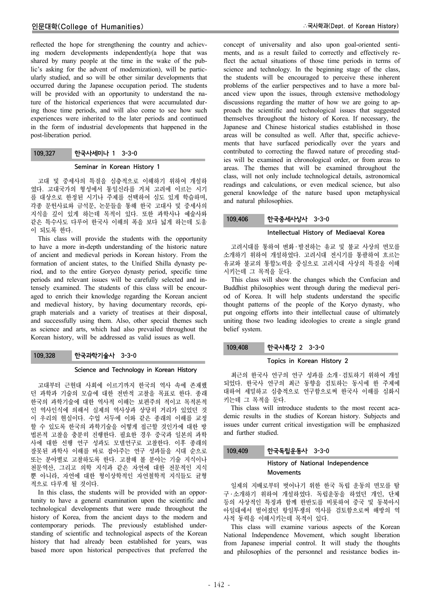reflected the hope for strengthening the country and achieving modern developments independently(a hope that was shared by many people at the time in the wake of the public's asking for the advent of modernization), will be particularly studied, and so will be other similar developments that occurred during the Japanese occupation period. The students will be provided with an opportunity to understand the nature of the historical experiences that were accumulated during those time periods, and will also come to see how such experiences were inherited to the later periods and continued in the form of industrial developments that happened in the post-liberation period.

# 109.327 한국사세미나 1 3-3-0

### Seminar in Korean History 1

고대 및 중세사의 특질을 심층적으로 이해하기 위하여 개설하 였다. 고대국가의 형성에서 통일신라를 거쳐 고려에 이르는 시기 를 대상으로 한정된 시기나 주제를 선택하여 심도 있게 학습하며, 각종 문헌사료와 금석문, 논문들을 통해 한국 고대사 및 중세사의 지식을 깊이 있게 하는데 목적이 있다. 또한 과학사나 예술사와 같은 특수사도 다루어 한국사 이해의 폭을 보다 넓게 하는데 도움 이 되도록 한다.

This class will provide the students with the opportunity to have a more in-depth understanding of the historic nature of ancient and medieval periods in Korean history. From the formation of ancient states, to the Unified Shilla dynasty period, and to the entire Goryeo dynasty period, specific time periods and relevant issues will be carefully selected and intensely examined. The students of this class will be encouraged to enrich their knowledge regarding the Korean ancient and medieval history, by having documentary records, epigraph materials and a variety of treatises at their disposal, and successfully using them. Also, other special themes such as science and arts, which had also prevailed throughout the Korean history, will be addressed as valid issues as well.

## 109.328 한국과학기술사 3-3-0

## Science and Technology in Korean History

고대부터 근현대 사회에 이르기까지 한국의 역사 속에 존재했 던 과학과 기술의 모습에 대한 전반적 고찰을 목표로 한다. 종래 한국의 과학기술에 대한 역사적 이해는 보편주의 적이고 목적론적 인 역사인식에 의해서 실제의 역사상과 상당히 거리가 있었던 것 이 우리의 현실이다. 수업 서두에 이와 같은 종래의 이해를 교정 할 수 있도록 한국의 과학기술을 어떻게 접근할 것인가에 대한 방 법론적 고찰을 충분히 진행한다. 필요한 경우 중국과 일본의 과학 사에 대한 선행 연구 성과도 모델연구로 고찰한다. 이후 종래의 잘못된 과학사 이해를 바로 잡아주는 연구 성과들을 시대 순으로 또는 분야별로 고찰하도록 한다. 고찰해 볼 분야는 기술 지식이나 천문역산, 그리고 의학 지식과 같은 자연에 대한 전문적인 지식 뿐 아니라, 자연에 대한 형이상학적인 자연철학적 지식들도 균형 적으로 다루게 될 것이다.

In this class, the students will be provided with an opportunity to have a general examination upon the scientific and technological developments that were made throughout the history of Korea, from the ancient days to the modern and contemporary periods. The previously established understanding of scientific and technological aspects of the Korean history that had already been established for years, was based more upon historical perspectives that preferred the

concept of universality and also upon goal-oriented sentiments, and as a result failed to correctly and effectively reflect the actual situations of those time periods in terms of science and technology. In the beginning stage of the class, the students will be encouraged to perceive these inherent problems of the earlier perspectives and to have a more balanced view upon the issues, through extensive methodology discussions regarding the matter of how we are going to approach the scientific and technological issues that suggested themselves throughout the history of Korea. If necessary, the Japanese and Chinese historical studies established in those areas will be consulted as well. After that, specific achievements that have surfaced periodically over the years and contributed to correcting the flawed nature of preceding studies will be examined in chronological order, or from areas to areas. The themes that will be examined throughout the class, will not only include technological details, astronomical readings and calculations, or even medical science, but also general knowledge of the nature based upon metaphysical and natural philosophies.

# 109.406 한국중세사상사 3-3-0

## Intellectual History of Mediaeval Korea

고려시대를 통하여 변화 · 발전하는 유교 및 불교 사상의 면모를 소개하기 위하여 개설하였다. 고려시대 전시기를 통괄하여 흐르는 유교와 불교의 통합노력을 중심으로 고려시대 사상의 특질을 이해 시키는데 그 목적을 둔다.

This class will show the changes which the Confucian and Buddhist philosophies went through during the medieval period of Korea. It will help students understand the specific thought patterns of the people of the Koryo dynasty, who put ongoing efforts into their intellectual cause of ultimately uniting those two leading ideologies to create a single grand belief system.

# 109.408 한국사특강 2 3-3-0

## Topics in Korean History 2

최근의 한국사 연구의 연구 성과를 소개 ․ 검토하기 위하여 개설 되었다. 한국사 연구의 최근 동향을 검토하는 동시에 한 주제에 대하여 세밀하고 심층적으로 연구함으로써 한국사 이해를 심화시 키는데 그 목적을 둔다.

This class will introduce students to the most recent academic results in the studies of Korean history. Subjects and issues under current critical investigation will be emphasized and further studied.

# 109.409 한국독립운동사 3-3-0

# History of National Independence Movements

일제의 지배로부터 벗어나기 위한 한국 독립 운동의 면모를 탐 구 ․ 소개하기 위하여 개설하였다. 독립운동을 하였던 개인, 단체 등의 사상적인 특징과 함께 한반도를 비롯하여 중국 및 동북아시 아일대에서 벌어졌던 항일투쟁의 역사를 검토함으로써 해방의 역 사적 동력을 이해시키는데 목적이 있다.

This class will examine various aspects of the Korean National Independence Movement, which sought liberation from Japanese imperial control. It will study the thoughts and philosophies of the personnel and resistance bodies in